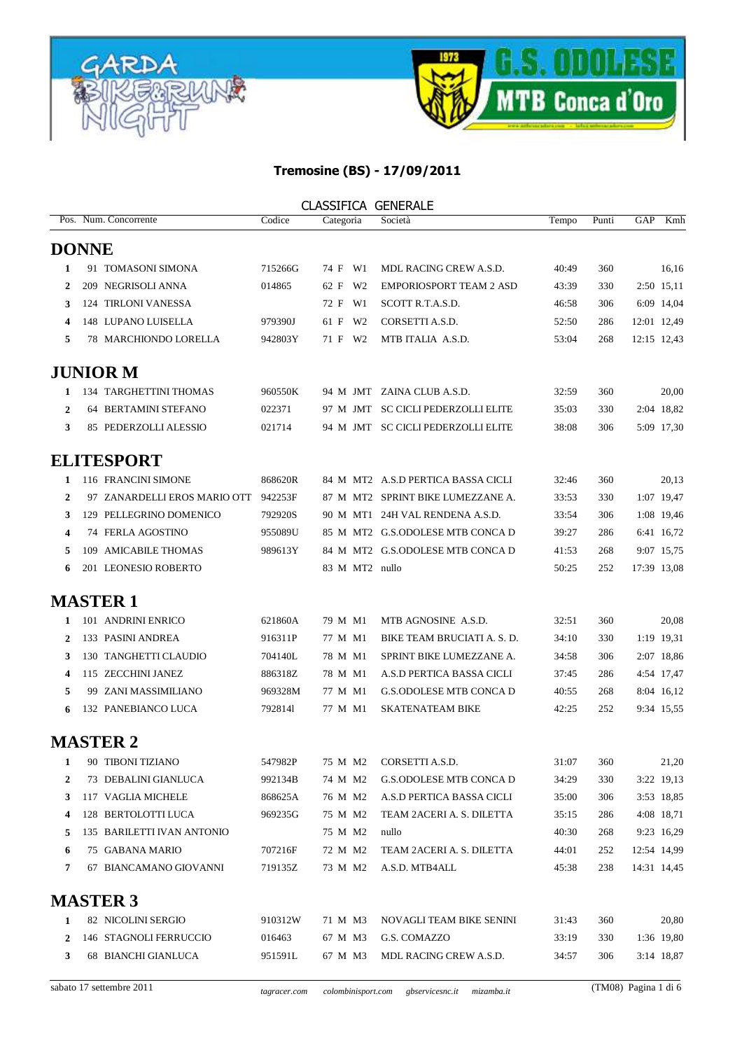



|                | <b>CLASSIFICA GENERALE</b>   |         |                |                                    |       |       |     |             |  |  |  |
|----------------|------------------------------|---------|----------------|------------------------------------|-------|-------|-----|-------------|--|--|--|
|                | Pos. Num. Concorrente        | Codice  | Categoria      | Società                            | Tempo | Punti | GAP | Kmh         |  |  |  |
|                | <b>DONNE</b>                 |         |                |                                    |       |       |     |             |  |  |  |
| 1              | 91 TOMASONI SIMONA           | 715266G | 74 F W1        | <b>MDL RACING CREW A.S.D.</b>      | 40:49 | 360   |     | 16,16       |  |  |  |
| 2              | 209 NEGRISOLI ANNA           | 014865  | 62 F W2        | <b>EMPORIOSPORT TEAM 2 ASD</b>     | 43:39 | 330   |     | 2:50 15,11  |  |  |  |
| 3              | 124 TIRLONI VANESSA          |         | 72 F W1        | SCOTT R.T.A.S.D.                   | 46:58 | 306   |     | 6:09 14,04  |  |  |  |
| 4              | 148 LUPANO LUISELLA          | 979390J | 61 F W2        | CORSETTI A.S.D.                    | 52:50 | 286   |     | 12:01 12,49 |  |  |  |
| 5              | 78 MARCHIONDO LORELLA        | 942803Y | 71 F W2        | MTB ITALIA A.S.D.                  | 53:04 | 268   |     | 12:15 12.43 |  |  |  |
|                | <b>JUNIOR M</b>              |         |                |                                    |       |       |     |             |  |  |  |
| 1              | 134 TARGHETTINI THOMAS       | 960550K |                | 94 M JMT ZAINA CLUB A.S.D.         | 32:59 | 360   |     | 20,00       |  |  |  |
| $\mathbf{2}$   | 64 BERTAMINI STEFANO         | 022371  |                | 97 M JMT SC CICLI PEDERZOLLI ELITE | 35:03 | 330   |     | 2:04 18,82  |  |  |  |
| 3              | 85 PEDERZOLLI ALESSIO        | 021714  |                | 94 M JMT SC CICLI PEDERZOLLI ELITE | 38:08 | 306   |     | 5:09 17,30  |  |  |  |
|                | <b>ELITESPORT</b>            |         |                |                                    |       |       |     |             |  |  |  |
| 1              | 116 FRANCINI SIMONE          | 868620R |                | 84 M MT2 A.S.D PERTICA BASSA CICLI | 32:46 | 360   |     | 20,13       |  |  |  |
| $\mathbf{2}$   | 97 ZANARDELLI EROS MARIO OTT | 942253F |                | 87 M MT2 SPRINT BIKE LUMEZZANE A.  | 33:53 | 330   |     | 1:07 19,47  |  |  |  |
| 3              | 129 PELLEGRINO DOMENICO      | 792920S |                | 90 M MT1 24H VAL RENDENA A.S.D.    | 33:54 | 306   |     | 1:08 19,46  |  |  |  |
| 4              | 74 FERLA AGOSTINO            | 955089U |                | 85 M MT2 G.S.ODOLESE MTB CONCA D   | 39:27 | 286   |     | 6:41 16,72  |  |  |  |
| 5              | 109 AMICABILE THOMAS         | 989613Y |                | 84 M MT2 G.S.ODOLESE MTB CONCA D   | 41:53 | 268   |     | 9:07 15,75  |  |  |  |
| 6              | 201 LEONESIO ROBERTO         |         | 83 M MT2 nullo |                                    | 50:25 | 252   |     | 17:39 13,08 |  |  |  |
|                | <b>MASTER 1</b>              |         |                |                                    |       |       |     |             |  |  |  |
| 1              | 101 ANDRINI ENRICO           | 621860A | 79 M M1        | MTB AGNOSINE A.S.D.                | 32:51 | 360   |     | 20,08       |  |  |  |
| 2              | 133 PASINI ANDREA            | 916311P | 77 M M1        | BIKE TEAM BRUCIATI A. S. D.        | 34:10 | 330   |     | 1:19 19,31  |  |  |  |
| 3              | 130 TANGHETTI CLAUDIO        | 704140L | 78 M M1        | SPRINT BIKE LUMEZZANE A.           | 34:58 | 306   |     | 2:07 18,86  |  |  |  |
| 4              | 115 ZECCHINI JANEZ           | 886318Z | 78 M M1        | A.S.D PERTICA BASSA CICLI          | 37:45 | 286   |     | 4:54 17,47  |  |  |  |
| 5              | 99 ZANI MASSIMILIANO         | 969328M | 77 M M1        | G.S.ODOLESE MTB CONCA D            | 40:55 | 268   |     | 8:04 16,12  |  |  |  |
|                | 132 PANEBIANCO LUCA          | 7928141 | 77 M M1        | <b>SKATENATEAM BIKE</b>            | 42:25 | 252   |     | 9:34 15,55  |  |  |  |
|                | <b>MASTER 2</b>              |         |                |                                    |       |       |     |             |  |  |  |
| 1              | 90 TIBONI TIZIANO            | 547982P | 75 M M2        | CORSETTI A.S.D.                    | 31:07 | 360   |     | 21,20       |  |  |  |
| $\overline{2}$ | 73 DEBALINI GIANLUCA         | 992134B | 74 M M2        | G.S.ODOLESE MTB CONCA D            | 34:29 | 330   |     | 3:22 19,13  |  |  |  |
| 3              | 117 VAGLIA MICHELE           | 868625A | 76 M M2        | A.S.D PERTICA BASSA CICLI          | 35:00 | 306   |     | 3:53 18,85  |  |  |  |
| 4              | 128 BERTOLOTTI LUCA          | 969235G | 75 M M2        | TEAM 2ACERI A. S. DILETTA          | 35:15 | 286   |     | 4:08 18,71  |  |  |  |
| 5              | 135 BARILETTI IVAN ANTONIO   |         | 75 M M2        | nullo                              | 40:30 | 268   |     | 9:23 16,29  |  |  |  |
| 6              | 75 GABANA MARIO              | 707216F | 72 M M2        | TEAM 2ACERI A. S. DILETTA          | 44:01 | 252   |     | 12:54 14,99 |  |  |  |
| 7              | 67 BIANCAMANO GIOVANNI       | 719135Z | 73 M M2        | A.S.D. MTB4ALL                     | 45:38 | 238   |     | 14:31 14,45 |  |  |  |
|                | <b>MASTER 3</b>              |         |                |                                    |       |       |     |             |  |  |  |
| 1              | 82 NICOLINI SERGIO           | 910312W | 71 M M3        | NOVAGLI TEAM BIKE SENINI           | 31:43 | 360   |     | 20,80       |  |  |  |
| 2              | 146 STAGNOLI FERRUCCIO       | 016463  | 67 M M3        | G.S. COMAZZO                       | 33:19 | 330   |     | 1:36 19,80  |  |  |  |
| 3              | 68 BIANCHI GIANLUCA          | 951591L | 67 M M3        | MDL RACING CREW A.S.D.             | 34:57 | 306   |     | 3:14 18,87  |  |  |  |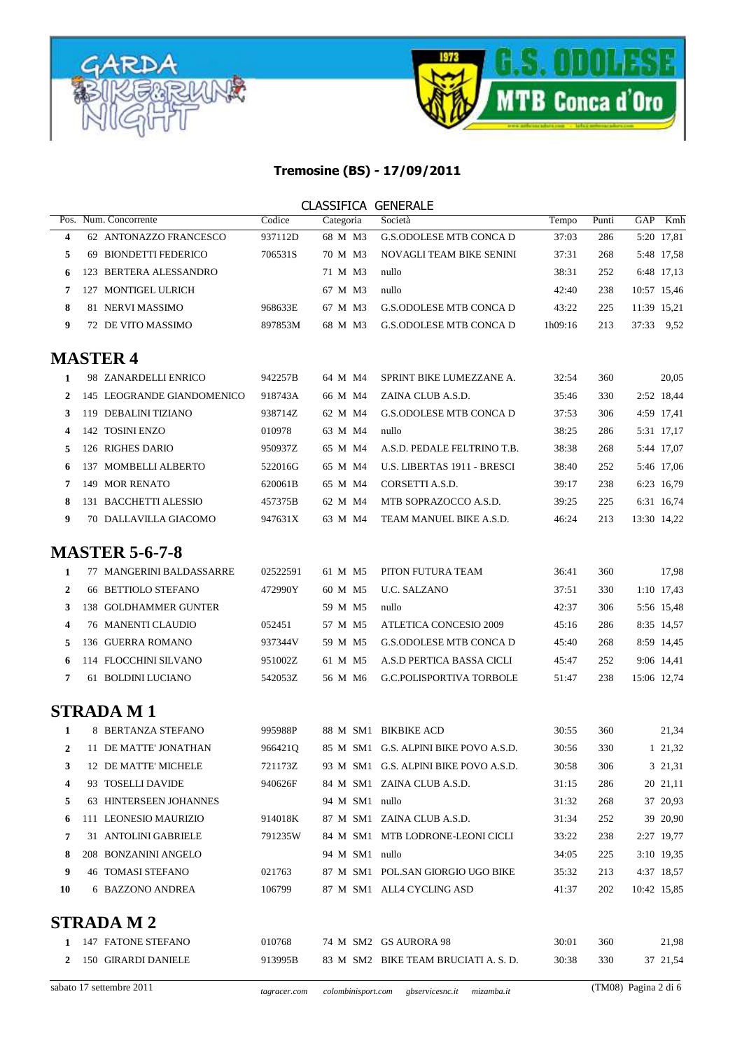



|              |                            |          | <b>CLASSIFICA GENERALE</b> |                                       |         |       |             |             |
|--------------|----------------------------|----------|----------------------------|---------------------------------------|---------|-------|-------------|-------------|
| Pos.         | Num. Concorrente           | Codice   | Categoria                  | Società                               | Tempo   | Punti | GAP         | Kmh         |
| 4            | 62 ANTONAZZO FRANCESCO     | 937112D  | 68 M M3                    | <b>G.S.ODOLESE MTB CONCA D</b>        | 37:03   | 286   |             | 5:20 17,81  |
| 5            | 69 BIONDETTI FEDERICO      | 706531S  | 70 M M3                    | NOVAGLI TEAM BIKE SENINI              | 37:31   | 268   |             | 5:48 17,58  |
| 6            | 123 BERTERA ALESSANDRO     |          | 71 M M3                    | nullo                                 | 38:31   | 252   |             | 6:48 17,13  |
| 7            | 127 MONTIGEL ULRICH        |          | 67 M M3                    | nullo                                 | 42:40   | 238   | 10:57 15,46 |             |
| 8            | 81 NERVI MASSIMO           | 968633E  | 67 M M3                    | <b>G.S.ODOLESE MTB CONCA D</b>        | 43:22   | 225   | 11:39 15,21 |             |
| 9            | 72 DE VITO MASSIMO         | 897853M  | 68 M M3                    | <b>G.S.ODOLESE MTB CONCA D</b>        | 1h09:16 | 213   | 37:33 9.52  |             |
|              | <b>MASTER 4</b>            |          |                            |                                       |         |       |             |             |
| 1            | 98 ZANARDELLI ENRICO       | 942257B  | 64 M M4                    | SPRINT BIKE LUMEZZANE A.              | 32:54   | 360   |             | 20,05       |
| 2            | 145 LEOGRANDE GIANDOMENICO | 918743A  | 66 M M4                    | ZAINA CLUB A.S.D.                     | 35:46   | 330   |             | 2:52 18,44  |
| 3            | 119 DEBALINI TIZIANO       | 938714Z  | 62 M M4                    | <b>G.S.ODOLESE MTB CONCA D</b>        | 37:53   | 306   |             | 4:59 17,41  |
| 4            | 142 TOSINI ENZO            | 010978   | 63 M M4                    | nullo                                 | 38:25   | 286   |             | 5:31 17,17  |
| 5            | 126 RIGHES DARIO           | 950937Z  | 65 M M4                    | A.S.D. PEDALE FELTRINO T.B.           | 38:38   | 268   |             | 5:44 17,07  |
| 6            | 137 MOMBELLI ALBERTO       | 522016G  | 65 M M4                    | U.S. LIBERTAS 1911 - BRESCI           | 38:40   | 252   |             | 5:46 17,06  |
| 7            | 149 MOR RENATO             | 620061B  | 65 M M4                    | CORSETTI A.S.D.                       | 39:17   | 238   |             | 6:23 16,79  |
| 8            | 131 BACCHETTI ALESSIO      | 457375B  | 62 M M4                    | MTB SOPRAZOCCO A.S.D.                 | 39:25   | 225   |             | 6:31 16,74  |
| 9            | 70 DALLAVILLA GIACOMO      | 947631X  | 63 M M4                    | TEAM MANUEL BIKE A.S.D.               | 46:24   | 213   | 13:30 14,22 |             |
|              | <b>MASTER 5-6-7-8</b>      |          |                            |                                       |         |       |             |             |
| 1            | 77 MANGERINI BALDASSARRE   | 02522591 | 61 M M5                    | PITON FUTURA TEAM                     | 36:41   | 360   |             | 17,98       |
| 2            | 66 BETTIOLO STEFANO        | 472990Y  | 60 M M5                    | <b>U.C. SALZANO</b>                   | 37:51   | 330   |             | 1:10 17,43  |
| 3            | 138 GOLDHAMMER GUNTER      |          | 59 M M5                    | nullo                                 | 42:37   | 306   |             | 5:56 15,48  |
| 4            | <b>76 MANENTI CLAUDIO</b>  | 052451   | 57 M M5                    | ATLETICA CONCESIO 2009                | 45:16   | 286   |             | 8:35 14,57  |
| 5            | 136 GUERRA ROMANO          | 937344V  | 59 M M5                    | <b>G.S.ODOLESE MTB CONCA D</b>        | 45:40   | 268   |             | 8:59 14,45  |
| 6            | 114 FLOCCHINI SILVANO      | 951002Z  | 61 M M5                    | A.S.D PERTICA BASSA CICLI             | 45:47   | 252   |             | 9:06 14,41  |
| 7            | 61 BOLDINI LUCIANO         | 542053Z  | 56 M M6                    | <b>G.C.POLISPORTIVA TORBOLE</b>       | 51:47   | 238   | 15:06 12,74 |             |
|              | <b>STRADA M1</b>           |          |                            |                                       |         |       |             |             |
| 1            | 8 BERTANZA STEFANO         | 995988P  |                            | 88 M SM1 BIKBIKE ACD                  | 30:55   | 360   |             | 21,34       |
| 2            | 11 DE MATTE' JONATHAN      | 966421Q  |                            | 85 M SM1 G.S. ALPINI BIKE POVO A.S.D. | 30:56   | 330   |             | 1 21,32     |
| 3            | 12 DE MATTE' MICHELE       | 721173Z  |                            | 93 M SM1 G.S. ALPINI BIKE POVO A.S.D. | 30:58   | 306   |             | 3 21,31     |
| 4            | 93 TOSELLI DAVIDE          | 940626F  |                            | 84 M SM1 ZAINA CLUB A.S.D.            | 31:15   | 286   |             | 20 21,11    |
| 5            | 63 HINTERSEEN JOHANNES     |          | 94 M SM1 nullo             |                                       | 31:32   | 268   |             | 37 20,93    |
| 6            | 111 LEONESIO MAURIZIO      | 914018K  |                            | 87 M SM1 ZAINA CLUB A.S.D.            | 31:34   | 252   |             | 39 20,90    |
| 7            | 31 ANTOLINI GABRIELE       | 791235W  |                            | 84 M SM1 MTB LODRONE-LEONI CICLI      | 33:22   | 238   |             | 2:27 19,77  |
| 8            | 208 BONZANINI ANGELO       |          | 94 M SM1 nullo             |                                       | 34:05   | 225   |             | 3:10 19,35  |
| 9            | <b>46 TOMASI STEFANO</b>   | 021763   |                            | 87 M SM1 POL.SAN GIORGIO UGO BIKE     | 35:32   | 213   |             | 4:37 18,57  |
| 10           | 6 BAZZONO ANDREA           | 106799   |                            | 87 M SM1 ALL4 CYCLING ASD             | 41:37   | 202   |             | 10:42 15,85 |
|              | <b>STRADA M2</b>           |          |                            |                                       |         |       |             |             |
| 1            | 147 FATONE STEFANO         | 010768   |                            | 74 M SM2 GS AURORA 98                 | 30:01   | 360   |             | 21,98       |
| $\mathbf{2}$ | 150 GIRARDI DANIELE        | 913995B  |                            | 83 M SM2 BIKE TEAM BRUCIATI A.S.D.    | 30:38   | 330   |             | 37 21,54    |
|              |                            |          |                            |                                       |         |       |             |             |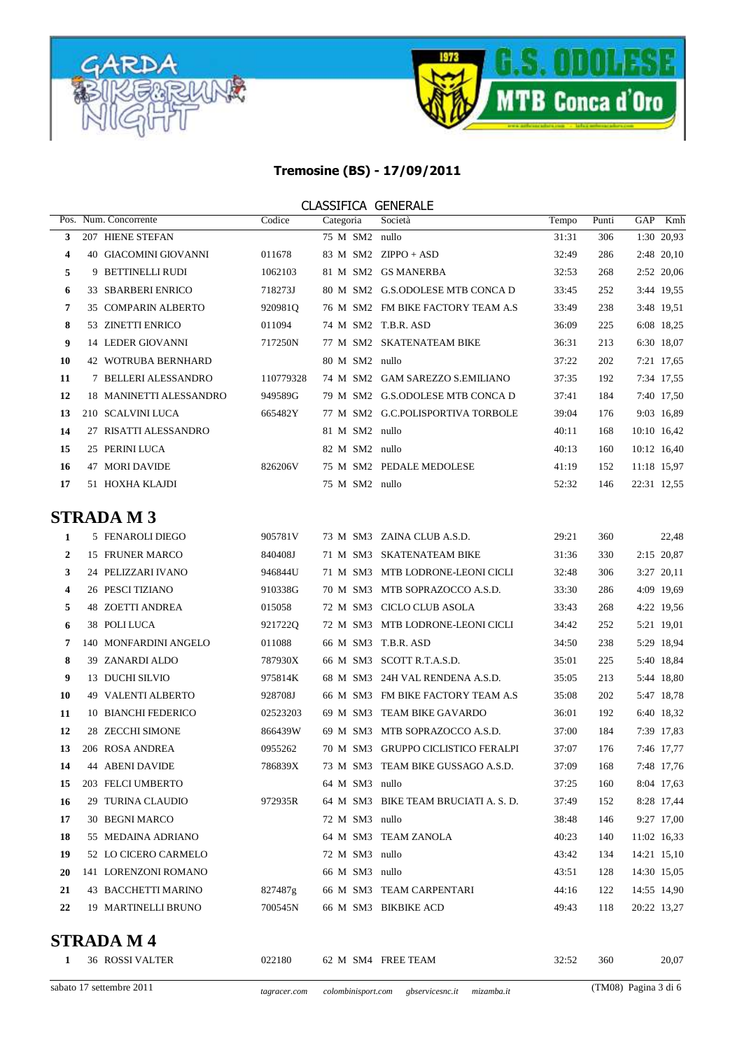



#### CLASSIFICA GENERALE

| Pos. |     | Num. Concorrente           | Codice    | Categoria      | Società                           | Tempo | Punti | GAP         | Kmh         |
|------|-----|----------------------------|-----------|----------------|-----------------------------------|-------|-------|-------------|-------------|
| 3    |     | 207 HIENE STEFAN           |           | 75 M SM2       | nullo                             | 31:31 | 306   |             | 1:30 20,93  |
| 4    | 40  | <b>GIACOMINI GIOVANNI</b>  | 011678    | 83 M SM2       | $ZIPPO + ASD$                     | 32:49 | 286   |             | 2:48 20,10  |
| 5    |     | 9 BETTINELLI RUDI          | 1062103   |                | 81 M SM2 GS MANERBA               | 32:53 | 268   |             | 2:52 20,06  |
| 6    | 33. | <b>SBARBERI ENRICO</b>     | 718273J   | 80 M SM2       | <b>G.S.ODOLESE MTB CONCA D</b>    | 33:45 | 252   |             | 3:44 19.55  |
| 7    |     | <b>35 COMPARIN ALBERTO</b> | 920981O   |                | 76 M SM2 FM BIKE FACTORY TEAM A.S | 33:49 | 238   |             | 3:48 19.51  |
| 8    |     | 53 ZINETTI ENRICO          | 011094    |                | 74 M SM2 T.B.R. ASD               | 36:09 | 225   |             | 6:08 18.25  |
| 9    |     | <b>14 LEDER GIOVANNI</b>   | 717250N   | 77 M SM2       | <b>SKATENATEAM BIKE</b>           | 36:31 | 213   |             | 6:30 18,07  |
| 10   |     | <b>42 WOTRUBA BERNHARD</b> |           | 80 M SM2       | nullo                             | 37:22 | 202   |             | 7:21 17,65  |
| 11   |     | 7 BELLERI ALESSANDRO       | 110779328 | 74 M SM2       | <b>GAM SAREZZO S.EMILIANO</b>     | 37:35 | 192   |             | 7:34 17,55  |
| 12   |     | 18 MANINETTI ALESSANDRO    | 949589G   | 79 M SM2       | <b>G.S.ODOLESE MTB CONCA D</b>    | 37:41 | 184   |             | 7:40 17.50  |
| 13   |     | 210 SCALVINI LUCA          | 665482Y   |                | 77 M SM2 G.C.POLISPORTIVA TORBOLE | 39:04 | 176   |             | 9:03 16.89  |
| 14   | 27  | RISATTI ALESSANDRO         |           | 81 M SM2       | nullo                             | 40:11 | 168   |             | 10:10 16,42 |
| 15   |     | 25 PERINI LUCA             |           | 82 M SM2 nullo |                                   | 40:13 | 160   |             | 10:12 16,40 |
| 16   |     | 47 MORI DAVIDE             | 826206V   | 75 M SM2       | PEDALE MEDOLESE                   | 41:19 | 152   | 11:18 15.97 |             |
| 17   |     | 51 HOXHA KLAJDI            |           | 75 M SM2       | nullo                             | 52:32 | 146   | 22:31 12.55 |             |

# **STRADA M 3**

| 1  | 5 FENAROLI DIEGO        | 905781V  |                | 73 M SM3 ZAINA CLUB A.S.D.           | 29:21 | 360 |             | 22,48      |
|----|-------------------------|----------|----------------|--------------------------------------|-------|-----|-------------|------------|
| 2  | 15 FRUNER MARCO         | 840408J  |                | 71 M SM3 SKATENATEAM BIKE            | 31:36 | 330 |             | 2:15 20,87 |
| 3  | 24 PELIZZARI IVANO      | 946844U  |                | 71 M SM3 MTB LODRONE-LEONI CICLI     | 32:48 | 306 |             | 3:27 20,11 |
| 4  | 26 PESCI TIZIANO        | 910338G  |                | 70 M SM3 MTB SOPRAZOCCO A.S.D.       | 33:30 | 286 |             | 4:09 19.69 |
| 5  | <b>48 ZOETTI ANDREA</b> | 015058   |                | 72 M SM3 CICLO CLUB ASOLA            | 33:43 | 268 |             | 4:22 19,56 |
| 6  | 38 POLILUCA             | 921722Q  |                | 72 M SM3 MTB LODRONE-LEONI CICLI     | 34:42 | 252 |             | 5:21 19,01 |
| 7  | 140 MONFARDINI ANGELO   | 011088   |                | 66 M SM3 T.B.R. ASD                  | 34:50 | 238 |             | 5:29 18.94 |
| 8  | 39 ZANARDI ALDO         | 787930X  |                | 66 M SM3 SCOTT R.T.A.S.D.            | 35:01 | 225 |             | 5:40 18,84 |
| 9  | 13 DUCHI SILVIO         | 975814K  |                | 68 M SM3 24H VAL RENDENA A.S.D.      | 35:05 | 213 |             | 5:44 18,80 |
| 10 | 49 VALENTI ALBERTO      | 928708J  |                | 66 M SM3 FM BIKE FACTORY TEAM A.S    | 35:08 | 202 |             | 5:47 18.78 |
| 11 | 10 BIANCHI FEDERICO     | 02523203 |                | 69 M SM3 TEAM BIKE GAVARDO           | 36:01 | 192 |             | 6:40 18,32 |
| 12 | 28 ZECCHI SIMONE        | 866439W  |                | 69 M SM3 MTB SOPRAZOCCO A.S.D.       | 37:00 | 184 |             | 7:39 17,83 |
| 13 | 206 ROSA ANDREA         | 0955262  |                | 70 M SM3 GRUPPO CICLISTICO FERALPI   | 37:07 | 176 |             | 7:46 17,77 |
| 14 | <b>44 ABENI DAVIDE</b>  | 786839X  |                | 73 M SM3 TEAM BIKE GUSSAGO A.S.D.    | 37:09 | 168 |             | 7:48 17,76 |
| 15 | 203 FELCI UMBERTO       |          | 64 M SM3 nullo |                                      | 37:25 | 160 |             | 8:04 17,63 |
| 16 | 29 TURINA CLAUDIO       | 972935R  |                | 64 M SM3 BIKE TEAM BRUCIATI A. S. D. | 37:49 | 152 |             | 8:28 17,44 |
| 17 | <b>30 BEGNI MARCO</b>   |          | 72 M SM3 nullo |                                      | 38:48 | 146 |             | 9:27 17,00 |
| 18 | 55 MEDAINA ADRIANO      |          |                | 64 M SM3 TEAM ZANOLA                 | 40:23 | 140 | 11:02 16,33 |            |
| 19 | 52 LO CICERO CARMELO    |          | 72 M SM3 nullo |                                      | 43:42 | 134 | 14:21 15,10 |            |
| 20 | 141 LORENZONI ROMANO    |          | 66 M SM3 nullo |                                      | 43:51 | 128 | 14:30 15,05 |            |
| 21 | 43 BACCHETTI MARINO     | 827487g  |                | 66 M SM3 TEAM CARPENTARI             | 44:16 | 122 | 14:55 14,90 |            |
| 22 | 19 MARTINELLI BRUNO     | 700545N  |                | 66 M SM3 BIKBIKE ACD                 | 49:43 | 118 | 20:22 13,27 |            |
|    |                         |          |                |                                      |       |     |             |            |

## **STRADA M 4**

|  | ROSSI VALTER<br>36<br>__ | 022180 | -62<br>M | SM4 FREE TEAM | $22.5^{\circ}$<br>ے بے ب | 360<br>$ -$ | 20,07 |
|--|--------------------------|--------|----------|---------------|--------------------------|-------------|-------|
|  |                          |        |          |               |                          |             |       |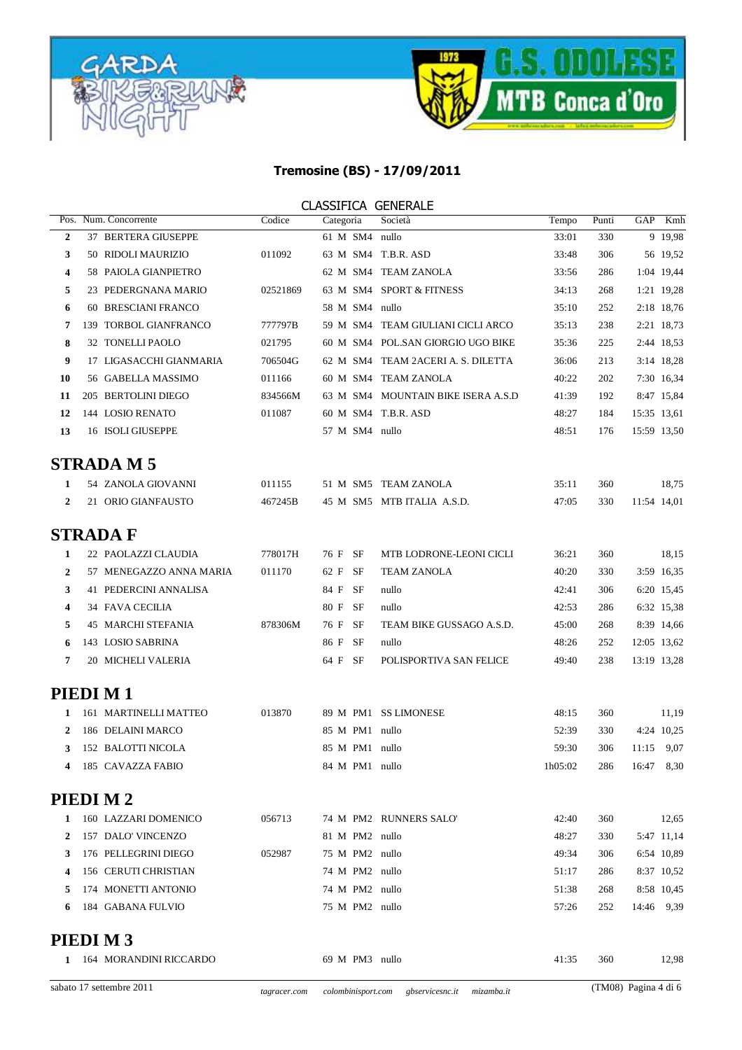



|                  |                           |          | <b>CLASSIFICA GENERALE</b> |                                    |         |       |             |             |
|------------------|---------------------------|----------|----------------------------|------------------------------------|---------|-------|-------------|-------------|
|                  | Pos. Num. Concorrente     | Codice   | Categoria                  | Società                            | Tempo   | Punti | GAP         | Kmh         |
| $\overline{2}$   | 37 BERTERA GIUSEPPE       |          | 61 M SM4 nullo             |                                    | 33:01   | 330   |             | 9 19,98     |
| 3                | 50 RIDOLI MAURIZIO        | 011092   |                            | 63 M SM4 T.B.R. ASD                | 33:48   | 306   |             | 56 19,52    |
| 4                | 58 PAIOLA GIANPIETRO      |          |                            | 62 M SM4 TEAM ZANOLA               | 33:56   | 286   |             | 1:04 19,44  |
| 5                | 23 PEDERGNANA MARIO       | 02521869 |                            | 63 M SM4 SPORT & FITNESS           | 34:13   | 268   |             | 1:21 19,28  |
| 6                | 60 BRESCIANI FRANCO       |          | 58 M SM4 nullo             |                                    | 35:10   | 252   |             | 2:18 18,76  |
| 7                | 139 TORBOL GIANFRANCO     | 777797B  |                            | 59 M SM4 TEAM GIULIANI CICLI ARCO  | 35:13   | 238   |             | 2:21 18,73  |
| 8                | 32 TONELLI PAOLO          | 021795   |                            | 60 M SM4 POL.SAN GIORGIO UGO BIKE  | 35:36   | 225   |             | 2:44 18,53  |
| 9                | 17 LIGASACCHI GIANMARIA   | 706504G  |                            | 62 M SM4 TEAM 2ACERIA. S. DILETTA  | 36:06   | 213   |             | 3:14 18,28  |
| 10               | 56 GABELLA MASSIMO        | 011166   |                            | 60 M SM4 TEAM ZANOLA               | 40:22   | 202   |             | 7:30 16,34  |
| 11               | 205 BERTOLINI DIEGO       | 834566M  |                            | 63 M SM4 MOUNTAIN BIKE ISERA A.S.D | 41:39   | 192   |             | 8:47 15,84  |
| 12               | 144 LOSIO RENATO          | 011087   |                            | 60 M SM4 T.B.R. ASD                | 48:27   | 184   |             | 15:35 13,61 |
| 13               | 16 ISOLI GIUSEPPE         |          | 57 M SM4 nullo             |                                    | 48:51   | 176   |             | 15:59 13,50 |
|                  | <b>STRADA M5</b>          |          |                            |                                    |         |       |             |             |
| 1                | 54 ZANOLA GIOVANNI        | 011155   |                            | 51 M SM5 TEAM ZANOLA               | 35:11   | 360   |             | 18,75       |
| $\overline{2}$   | 21 ORIO GIANFAUSTO        | 467245B  |                            | 45 M SM5 MTB ITALIA A.S.D.         | 47:05   | 330   | 11:54 14,01 |             |
|                  | <b>STRADA F</b>           |          |                            |                                    |         |       |             |             |
| 1                | 22 PAOLAZZI CLAUDIA       | 778017H  | 76 F SF                    | MTB LODRONE-LEONI CICLI            | 36:21   | 360   |             | 18,15       |
| $\boldsymbol{2}$ | 57 MENEGAZZO ANNA MARIA   | 011170   | 62 F SF                    | <b>TEAM ZANOLA</b>                 | 40:20   | 330   |             | 3:59 16,35  |
| 3                | 41 PEDERCINI ANNALISA     |          | 84 F SF                    | nullo                              | 42:41   | 306   |             | 6:20 15,45  |
| 4                | 34 FAVA CECILIA           |          | 80 F SF                    | nullo                              | 42:53   | 286   |             | 6:32 15,38  |
| 5                | <b>45 MARCHI STEFANIA</b> | 878306M  | 76 F SF                    | TEAM BIKE GUSSAGO A.S.D.           | 45:00   | 268   |             | 8:39 14,66  |
| 6                | 143 LOSIO SABRINA         |          | 86 F SF                    | nullo                              | 48:26   | 252   |             | 12:05 13,62 |
| 7                | 20 MICHELI VALERIA        |          | 64 F SF                    | POLISPORTIVA SAN FELICE            | 49:40   | 238   | 13:19 13,28 |             |
|                  | PIEDIM <sub>1</sub>       |          |                            |                                    |         |       |             |             |
| 1                | 161 MARTINELLI MATTEO     | 013870   |                            | 89 M PM1 SS LIMONESE               | 48:15   | 360   |             | 11,19       |
| 2                | 186 DELAINI MARCO         |          | 85 M PM1 nullo             |                                    | 52:39   | 330   |             | 4:24 10,25  |
| 3                | 152 BALOTTI NICOLA        |          | 85 M PM1 nullo             |                                    | 59:30   | 306   |             | 11:15 9,07  |
| 4                | 185 CAVAZZA FABIO         |          | 84 M PM1 nullo             |                                    | 1h05:02 | 286   |             | 16:47 8,30  |
|                  | PIEDIM <sub>2</sub>       |          |                            |                                    |         |       |             |             |
| 1                | 160 LAZZARI DOMENICO      | 056713   |                            | 74 M PM2 RUNNERS SALO'             | 42:40   | 360   |             | 12,65       |
| 2                | 157 DALO' VINCENZO        |          | 81 M PM2 nullo             |                                    | 48:27   | 330   |             | 5:47 11,14  |
| 3                | 176 PELLEGRINI DIEGO      | 052987   | 75 M PM2 nullo             |                                    | 49:34   | 306   |             | 6:54 10,89  |
| 4                | 156 CERUTI CHRISTIAN      |          | 74 M PM2 nullo             |                                    | 51:17   | 286   |             | 8:37 10,52  |
| 5                | 174 MONETTI ANTONIO       |          | 74 M PM2 nullo             |                                    | 51:38   | 268   |             | 8:58 10,45  |
| 6                | 184 GABANA FULVIO         |          | 75 M PM2 nullo             |                                    | 57:26   | 252   |             | 14:46 9,39  |
|                  |                           |          |                            |                                    |         |       |             |             |

# **PIEDI M 3**

| FIEDI M 3              |                |       |     |       |
|------------------------|----------------|-------|-----|-------|
| 164 MORANDINI RICCARDO | 69 M PM3 nullo | 41:35 | 360 | 12.98 |
|                        |                |       |     |       |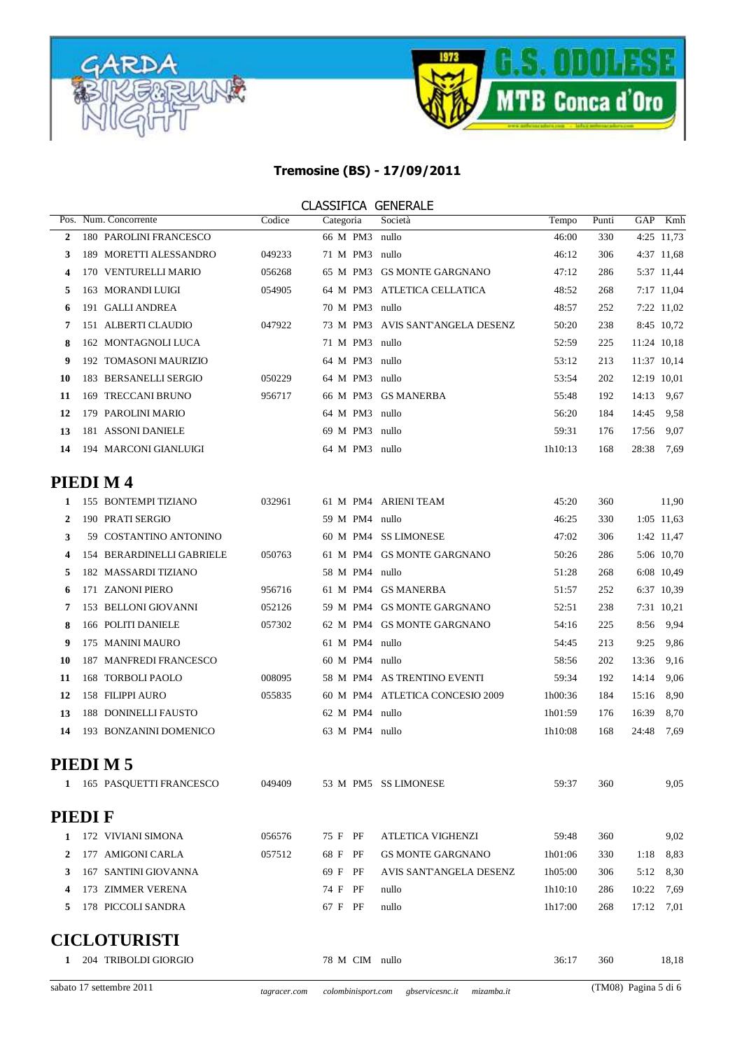



|                |                             |                           |        |                | <b>CLASSIFICA GENERALE</b>       |         |       |             |             |
|----------------|-----------------------------|---------------------------|--------|----------------|----------------------------------|---------|-------|-------------|-------------|
|                | Pos. Num. Concorrente       |                           | Codice | Categoria      | Società                          | Tempo   | Punti | GAP         | Kmh         |
| $\overline{2}$ |                             | 180 PAROLINI FRANCESCO    |        | 66 M PM3       | nullo                            | 46:00   | 330   |             | 4:25 11,73  |
| 3              |                             | 189 MORETTI ALESSANDRO    | 049233 | 71 M PM3 nullo |                                  | 46:12   | 306   |             | 4:37 11,68  |
| 4              |                             | 170 VENTURELLI MARIO      | 056268 |                | 65 M PM3 GS MONTE GARGNANO       | 47:12   | 286   |             | 5:37 11,44  |
| 5              | 163 MORANDI LUIGI           |                           | 054905 |                | 64 M PM3 ATLETICA CELLATICA      | 48:52   | 268   |             | 7:17 11,04  |
| 6              | 191 GALLI ANDREA            |                           |        | 70 M PM3 nullo |                                  | 48:57   | 252   |             | 7:22 11,02  |
| 7              | 151 ALBERTI CLAUDIO         |                           | 047922 |                | 73 M PM3 AVIS SANT'ANGELA DESENZ | 50:20   | 238   |             | 8:45 10,72  |
| 8              |                             | 162 MONTAGNOLI LUCA       |        | 71 M PM3 nullo |                                  | 52:59   | 225   |             | 11:24 10,18 |
| 9              |                             | 192 TOMASONI MAURIZIO     |        | 64 M PM3 nullo |                                  | 53:12   | 213   |             | 11:37 10,14 |
| 10             |                             | 183 BERSANELLI SERGIO     | 050229 | 64 M PM3 nullo |                                  | 53:54   | 202   | 12:19 10,01 |             |
| 11             | 169 TRECCANI BRUNO          |                           | 956717 |                | 66 M PM3 GS MANERBA              | 55:48   | 192   | 14:13       | 9,67        |
| 12             | 179 PAROLINI MARIO          |                           |        | 64 M PM3 nullo |                                  | 56:20   | 184   | 14:45       | 9,58        |
| 13             | 181 ASSONI DANIELE          |                           |        | 69 M PM3 nullo |                                  | 59:31   | 176   | 17:56       | 9,07        |
| 14             |                             | 194 MARCONI GIANLUIGI     |        | 64 M PM3 nullo |                                  | 1h10:13 | 168   | 28:38       | 7,69        |
|                | PIEDI M4                    |                           |        |                |                                  |         |       |             |             |
| 1              | 155 BONTEMPI TIZIANO        |                           | 032961 |                | 61 M PM4 ARIENI TEAM             | 45:20   | 360   |             | 11,90       |
| $\overline{2}$ | 190 PRATI SERGIO            |                           |        | 59 M PM4 nullo |                                  | 46:25   | 330   |             | 1:05 11,63  |
| 3              |                             | 59 COSTANTINO ANTONINO    |        |                | 60 M PM4 SS LIMONESE             | 47:02   | 306   |             | 1:42 11,47  |
| 4              |                             | 154 BERARDINELLI GABRIELE | 050763 |                | 61 M PM4 GS MONTE GARGNANO       | 50:26   | 286   |             | 5:06 10,70  |
| 5              | 182 MASSARDI TIZIANO        |                           |        | 58 M PM4 nullo |                                  | 51:28   | 268   |             | 6:08 10,49  |
| 6              | 171 ZANONI PIERO            |                           | 956716 |                | 61 M PM4 GS MANERBA              | 51:57   | 252   |             | 6:37 10,39  |
| 7              | 153 BELLONI GIOVANNI        |                           | 052126 |                | 59 M PM4 GS MONTE GARGNANO       | 52:51   | 238   |             | 7:31 10,21  |
| 8              | 166 POLITI DANIELE          |                           | 057302 |                | 62 M PM4 GS MONTE GARGNANO       | 54:16   | 225   | 8:56        | 9,94        |
| 9              | 175 MANINI MAURO            |                           |        | 61 M PM4 nullo |                                  | 54:45   | 213   | 9:25        | 9,86        |
| 10             |                             | 187 MANFREDI FRANCESCO    |        | 60 M PM4 nullo |                                  | 58:56   | 202   | 13:36       | 9,16        |
| 11             | 168 TORBOLI PAOLO           |                           | 008095 |                | 58 M PM4 AS TRENTINO EVENTI      | 59:34   | 192   | 14:14       | 9,06        |
| 12             | 158 FILIPPI AURO            |                           | 055835 |                | 60 M PM4 ATLETICA CONCESIO 2009  | 1h00:36 | 184   | 15:16       | 8,90        |
| 13             | <b>188 DONINELLI FAUSTO</b> |                           |        | 62 M PM4 nullo |                                  | 1h01:59 | 176   | 16:39       | 8,70        |
| 14             |                             | 193 BONZANINI DOMENICO    |        | 63 M PM4 nullo |                                  | 1h10:08 | 168   | 24:48       | 7,69        |
|                | PIEDIM <sub>5</sub>         |                           |        |                |                                  |         |       |             |             |
|                |                             | 1 165 PASQUETTI FRANCESCO | 049409 |                | 53 M PM5 SS LIMONESE             | 59:37   | 360   |             | 9,05        |
|                | <b>PIEDIF</b>               |                           |        |                |                                  |         |       |             |             |
| 1              | 172 VIVIANI SIMONA          |                           | 056576 | 75 F PF        | <b>ATLETICA VIGHENZI</b>         | 59:48   | 360   |             | 9,02        |
| 2              | 177 AMIGONI CARLA           |                           | 057512 | 68 F PF        | <b>GS MONTE GARGNANO</b>         | 1h01:06 | 330   | 1:18        | 8,83        |
| 3              | 167 SANTINI GIOVANNA        |                           |        | 69 F PF        | AVIS SANT'ANGELA DESENZ          | 1h05:00 | 306   |             | 5:12 8,30   |
|                |                             |                           |        |                |                                  |         |       |             |             |

## **CICI OTHDICTI**

4 173 ZIMMER VERENA

5 178 PICCOLI SANDRA

| <b>CICLOTURISTI</b> |                      |                |       |     |       |  |  |  |  |  |
|---------------------|----------------------|----------------|-------|-----|-------|--|--|--|--|--|
|                     | 204 TRIBOLDI GIORGIO | 78 M CIM nullo | 36:17 | 360 | 18,18 |  |  |  |  |  |
|                     |                      |                |       |     |       |  |  |  |  |  |

74 F PF

67 F PF

nullo

nullo

286 10:22 7,69

17:12 7,01

268

1h10:10

1h17:00